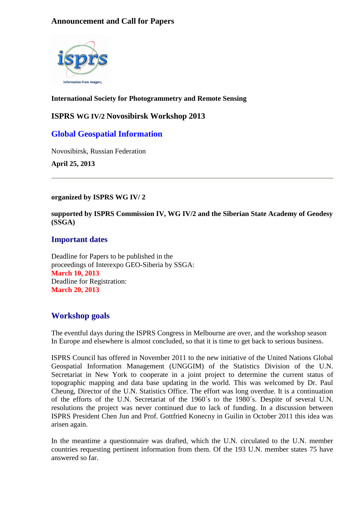### **Announcement and Call for Papers**



#### **International Society for Photogrammetry and Remote Sensing**

#### **ISPRS WG IV/2 Novosibirsk Workshop 2013**

# **Global Geospatial Information**

Novosibirsk, Russian Federation

**April 25, 2013**

#### **organized by ISPRS WG IV/ 2**

**supported by ISPRS Commission IV, WG IV/2 and the Siberian State Academy of Geodesy (SSGA)**

#### **Important dates**

Deadline for Papers to be published in the proceedings of Interexpo GEO-Siberia by SSGA: **March 10, 2013** Deadline for Registration: **March 20, 2013**

# **Workshop goals**

The eventful days during the ISPRS Congress in Melbourne are over, and the workshop season In Europe and elsewhere is almost concluded, so that it is time to get back to serious business.

ISPRS Council has offered in November 2011 to the new initiative of the United Nations Global Geospatial Information Management (UNGGIM) of the Statistics Division of the U.N. Secretariat in New York to cooperate in a joint project to determine the current status of topographic mapping and data base updating in the world. This was welcomed by Dr. Paul Cheung, Director of the U.N. Statistics Office. The effort was long overdue. It is a continuation of the efforts of the U.N. Secretariat of the 1960´s to the 1980´s. Despite of several U.N. resolutions the project was never continued due to lack of funding. In a discussion between ISPRS President Chen Jun and Prof. Gottfried Konecny in Guilin in October 2011 this idea was arisen again.

In the meantime a questionnaire was drafted, which the U.N. circulated to the U.N. member countries requesting pertinent information from them. Of the 193 U.N. member states 75 have answered so far.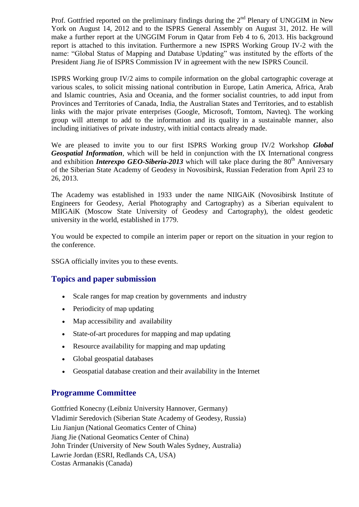Prof. Gottfried reported on the preliminary findings during the  $2<sup>nd</sup>$  Plenary of UNGGIM in New York on August 14, 2012 and to the ISPRS General Assembly on August 31, 2012. He will make a further report at the UNGGIM Forum in Qatar from Feb 4 to 6, 2013. His background report is attached to this invitation. Furthermore a new ISPRS Working Group IV-2 with the name: "Global Status of Mapping and Database Updating" was instituted by the efforts of the President Jiang Jie of ISPRS Commission IV in agreement with the new ISPRS Council.

ISPRS Working group IV/2 aims to compile information on the global cartographic coverage at various scales, to solicit missing national contribution in Europe, Latin America, Africa, Arab and Islamic countries, Asia and Oceania, and the former socialist countries, to add input from Provinces and Territories of Canada, India, the Australian States and Territories, and to establish links with the major private enterprises (Google, Microsoft, Tomtom, Navteq). The working group will attempt to add to the information and its quality in a sustainable manner, also including initiatives of private industry, with initial contacts already made.

We are pleased to invite you to our first ISPRS Working group IV/2 Workshop *Global Geospatial Information*, which will be held in conjunction with the IX International congress and exhibition *Interexpo GEO-Siberia-2013* which will take place during the  $80<sup>th</sup>$  Anniversary of the Siberian State Academy of Geodesy in Novosibirsk, Russian Federation from April 23 to 26, 2013.

The Academy was established in 1933 under the name NIIGAiK (Novosibirsk Institute of Engineers for Geodesy, Aerial Photography and Cartography) as a Siberian equivalent to MIIGAiK (Moscow State University of Geodesy and Cartography), the oldest geodetic university in the world, established in 1779.

You would be expected to compile an interim paper or report on the situation in your region to the conference.

SSGA officially invites you to these events.

#### **Topics and paper submission**

- Scale ranges for map creation by governments and industry
- Periodicity of map updating
- Map accessibility and availability
- State-of-art procedures for mapping and map updating
- Resource availability for mapping and map updating
- Global geospatial databases
- Geospatial database creation and their availability in the Internet

# **Programme Committee**

Gottfried Konecny (Leibniz University Hannover, Germany) Vladimir Seredovich (Siberian State Academy of Geodesy, Russia) Liu Jianjun (National Geomatics Center of China) Jiang Jie (National Geomatics Center of China) John Trinder (University of New South Wales Sydney, Australia) Lawrie Jordan (ESRI, Redlands CA, USA) Costas Armanakis (Canada)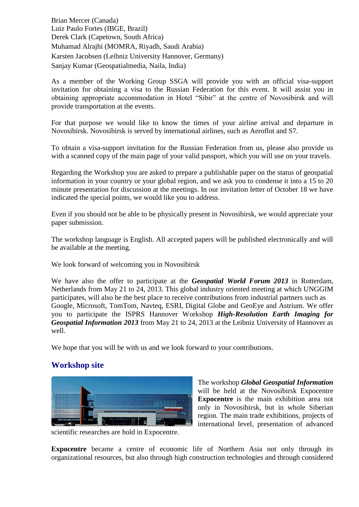Brian Mercer (Canada) Luiz Paulo Fortes (IBGE, Brazil) Derek Clark (Capetown, South Africa) Muhamad Alrajhi (MOMRA, Riyadh, Saudi Arabia) Karsten Jacobsen (Leibniz University Hannover, Germany) Sanjay Kumar (Geospatialmedia, Naila, India)

As a member of the Working Group SSGA will provide you with an official visa-support invitation for obtaining a visa to the Russian Federation for this event. It will assist you in obtaining appropriate accommodation in Hotel "Sibir" at the centre of Novosibirsk and will provide transportation at the events.

For that purpose we would like to know the times of your airline arrival and departure in Novosibirsk. Novosibirsk is served by international airlines, such as Aeroflot and S7.

To obtain a visa-support invitation for the Russian Federation from us, please also provide us with a scanned copy of the main page of your valid passport, which you will use on your travels.

Regarding the Workshop you are asked to prepare a publishable paper on the status of geospatial information in your country or your global region, and we ask you to condense it into a 15 to 20 minute presentation for discussion at the meetings. In our invitation letter of October 18 we have indicated the special points, we would like you to address.

Even if you should not be able to be physically present in Novosibirsk, we would appreciate your paper submission.

The workshop language is English. All accepted papers will be published electronically and will be available at the meeting.

We look forward of welcoming you in Novosibirsk

We have also the offer to participate at the *Geospatial World Forum 2013* in Rotterdam, Netherlands from May 21 to 24, 2013. This global industry oriented meeting at which UNGGIM participates, will also be the best place to receive contributions from industrial partners such as Google, Microsoft, TomTom, Navteq, ESRI, Digital Globe and GeoEye and Astrium. We offer you to participate the ISPRS Hannover Workshop *High-Resolution Earth Imaging for Geospatial Information 2013* from May 21 to 24, 2013 at the Leibniz University of Hannover as well.

We hope that you will be with us and we look forward to your contributions.

# **Workshop site**



The workshop *Global Geospatial Information* will be held at the Novosibirsk Expocentre **Expocentre** is the main exhibition area not only in Novosibirsk, but in whole Siberian region. The main trade exhibitions, projects of international level, presentation of advanced

scientific researches are hold in Expocentre.

**Expocentre** became a centre of economic life of Northern Asia not only through its organizational resources, but also through high construction technologies and through considered